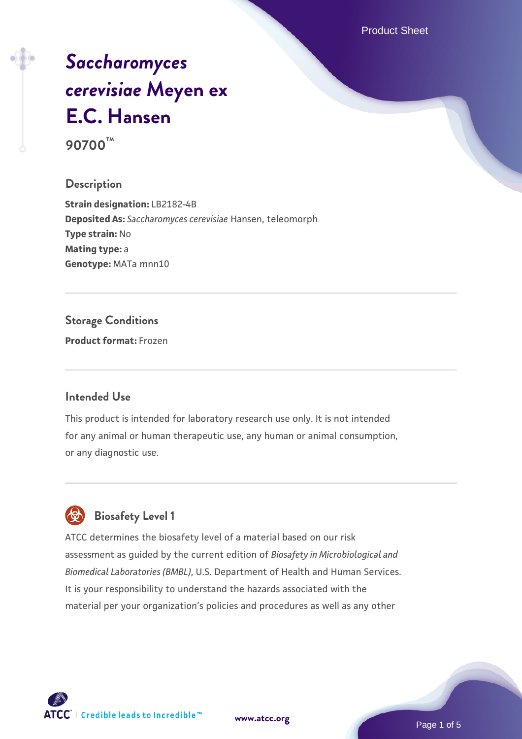Product Sheet

# *[Saccharomyces](https://www.atcc.org/products/90700) [cerevisiae](https://www.atcc.org/products/90700)* **[Meyen ex](https://www.atcc.org/products/90700) [E.C. Hansen](https://www.atcc.org/products/90700) 90700™**

### **Description**

**Strain designation:** LB2182-4B **Deposited As:** *Saccharomyces cerevisiae* Hansen, teleomorph **Type strain:** No **Mating type:** a **Genotype:** MATa mnn10

# **Storage Conditions**

**Product format:** Frozen

#### **Intended Use**

This product is intended for laboratory research use only. It is not intended for any animal or human therapeutic use, any human or animal consumption, or any diagnostic use.



# **Biosafety Level 1**

ATCC determines the biosafety level of a material based on our risk assessment as guided by the current edition of *Biosafety in Microbiological and Biomedical Laboratories (BMBL)*, U.S. Department of Health and Human Services. It is your responsibility to understand the hazards associated with the material per your organization's policies and procedures as well as any other

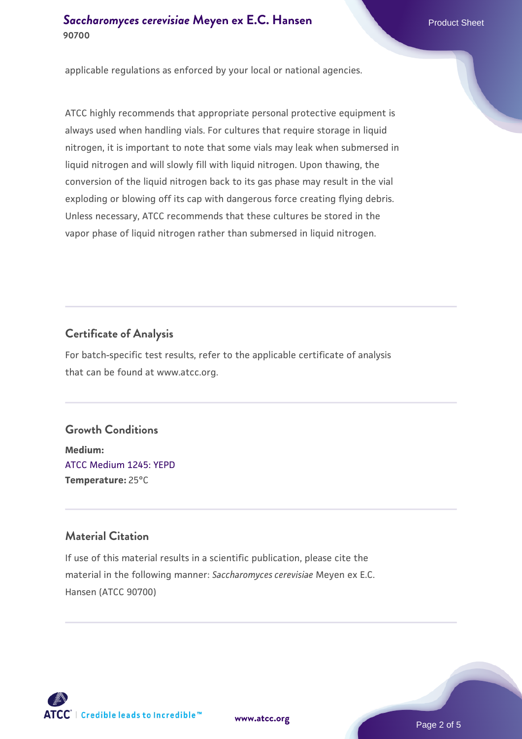### **[Saccharomyces cerevisiae](https://www.atcc.org/products/90700)** [Meyen ex E.C. Hansen](https://www.atcc.org/products/90700) **90700**

applicable regulations as enforced by your local or national agencies.

ATCC highly recommends that appropriate personal protective equipment is always used when handling vials. For cultures that require storage in liquid nitrogen, it is important to note that some vials may leak when submersed in liquid nitrogen and will slowly fill with liquid nitrogen. Upon thawing, the conversion of the liquid nitrogen back to its gas phase may result in the vial exploding or blowing off its cap with dangerous force creating flying debris. Unless necessary, ATCC recommends that these cultures be stored in the vapor phase of liquid nitrogen rather than submersed in liquid nitrogen.

# **Certificate of Analysis**

For batch-specific test results, refer to the applicable certificate of analysis that can be found at www.atcc.org.

#### **Growth Conditions**

**Medium:**  [ATCC Medium 1245: YEPD](https://www.atcc.org/-/media/product-assets/documents/microbial-media-formulations/1/2/4/5/atcc-medium-1245.pdf?rev=705ca55d1b6f490a808a965d5c072196) **Temperature:** 25°C

## **Material Citation**

If use of this material results in a scientific publication, please cite the material in the following manner: *Saccharomyces cerevisiae* Meyen ex E.C. Hansen (ATCC 90700)



**[www.atcc.org](http://www.atcc.org)**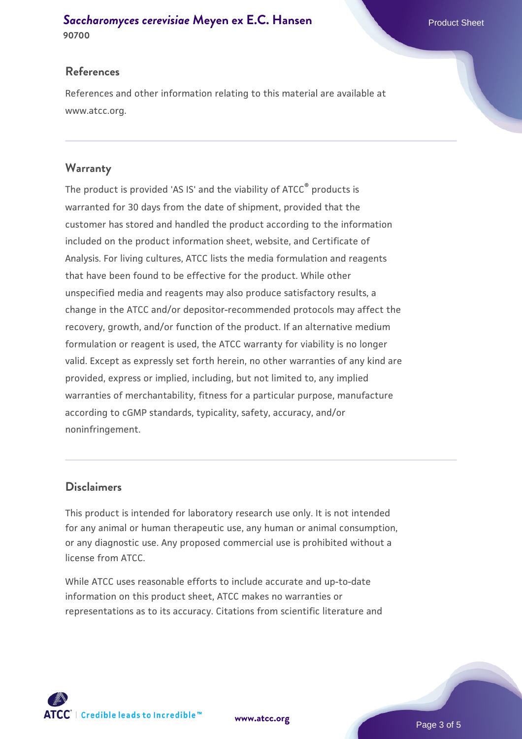#### **[Saccharomyces cerevisiae](https://www.atcc.org/products/90700)** [Meyen ex E.C. Hansen](https://www.atcc.org/products/90700) **90700**

#### **References**

References and other information relating to this material are available at www.atcc.org.

#### **Warranty**

The product is provided 'AS IS' and the viability of ATCC® products is warranted for 30 days from the date of shipment, provided that the customer has stored and handled the product according to the information included on the product information sheet, website, and Certificate of Analysis. For living cultures, ATCC lists the media formulation and reagents that have been found to be effective for the product. While other unspecified media and reagents may also produce satisfactory results, a change in the ATCC and/or depositor-recommended protocols may affect the recovery, growth, and/or function of the product. If an alternative medium formulation or reagent is used, the ATCC warranty for viability is no longer valid. Except as expressly set forth herein, no other warranties of any kind are provided, express or implied, including, but not limited to, any implied warranties of merchantability, fitness for a particular purpose, manufacture according to cGMP standards, typicality, safety, accuracy, and/or noninfringement.

#### **Disclaimers**

This product is intended for laboratory research use only. It is not intended for any animal or human therapeutic use, any human or animal consumption, or any diagnostic use. Any proposed commercial use is prohibited without a license from ATCC.

While ATCC uses reasonable efforts to include accurate and up-to-date information on this product sheet, ATCC makes no warranties or representations as to its accuracy. Citations from scientific literature and



**[www.atcc.org](http://www.atcc.org)**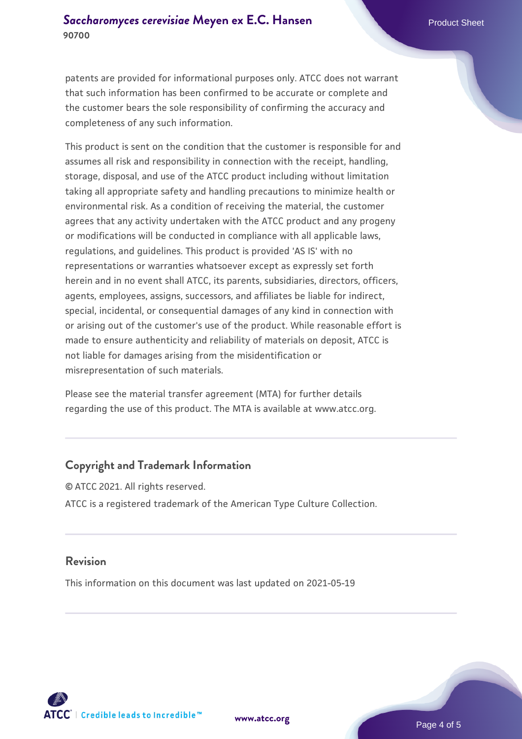patents are provided for informational purposes only. ATCC does not warrant that such information has been confirmed to be accurate or complete and the customer bears the sole responsibility of confirming the accuracy and completeness of any such information.

This product is sent on the condition that the customer is responsible for and assumes all risk and responsibility in connection with the receipt, handling, storage, disposal, and use of the ATCC product including without limitation taking all appropriate safety and handling precautions to minimize health or environmental risk. As a condition of receiving the material, the customer agrees that any activity undertaken with the ATCC product and any progeny or modifications will be conducted in compliance with all applicable laws, regulations, and guidelines. This product is provided 'AS IS' with no representations or warranties whatsoever except as expressly set forth herein and in no event shall ATCC, its parents, subsidiaries, directors, officers, agents, employees, assigns, successors, and affiliates be liable for indirect, special, incidental, or consequential damages of any kind in connection with or arising out of the customer's use of the product. While reasonable effort is made to ensure authenticity and reliability of materials on deposit, ATCC is not liable for damages arising from the misidentification or misrepresentation of such materials.

Please see the material transfer agreement (MTA) for further details regarding the use of this product. The MTA is available at www.atcc.org.

#### **Copyright and Trademark Information**

© ATCC 2021. All rights reserved. ATCC is a registered trademark of the American Type Culture Collection.

#### **Revision**

This information on this document was last updated on 2021-05-19



**[www.atcc.org](http://www.atcc.org)**